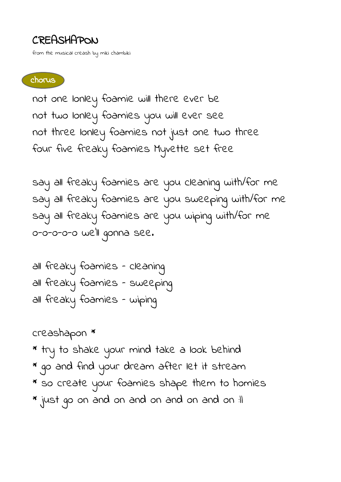## CREASHAPON

from the musical creash by miki chambiki

## chorus

not one lonley foamie will there ever be not two lonley foamies you will ever see not three lonley foamies not just one two three four five freaky foamies Myvette set free

say all freaky foamies are you cleaning with/for me say all freaky foamies are you sweeping with/for me say all freaky foamies are you wiping with/for me o-o-o-o-o we'll gonna see.

all freaky foamies – cleaning all freaky foamies – sweeping all freaky foamies – wiping

creashapon \*

- \* try to shake your mind take a look behind
- \* go and find your dream after let it stream
- \* so create your foamies shape them to homies
- \* just go on and on and on and on and on :||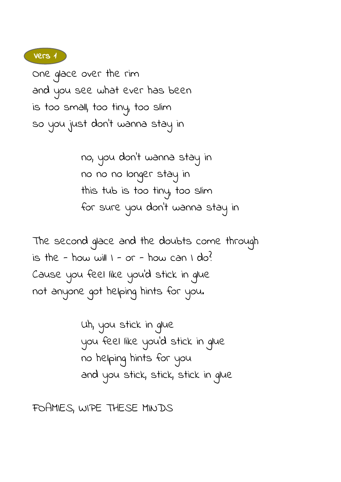Vers 1

One glace over the rim and you see what ever has been is too small, too tiny, too slim so you just don't wanna stay in

> no, you don't wanna stay in no no no longer stay in this tub is too tiny, too slim for sure you don't wanna stay in

The second glace and the doubts come through is the - how will  $1 - or - how can 1 do?$ Cause you feel like you'd stick in glue not anyone got helping hints for you.

> Uh, you stick in glue you feel like you'd stick in glue no helping hints for you and you stick, stick, stick in glue

FOAMIES, WIPE THESE MINDS